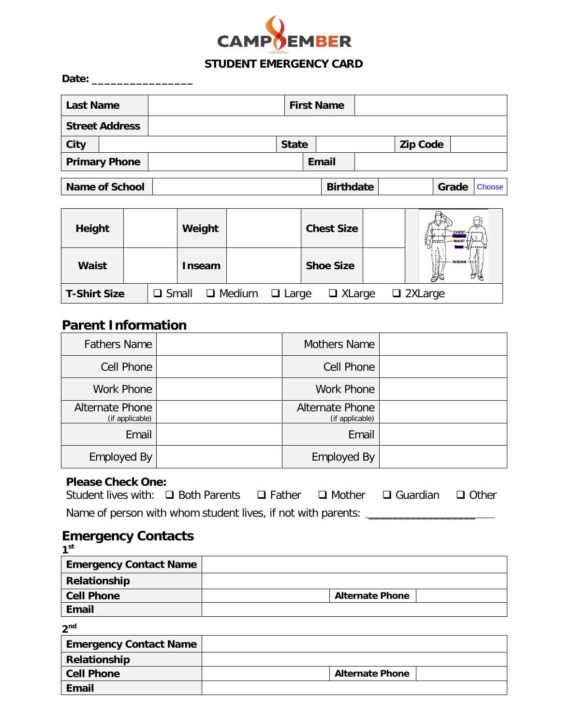

## **STUDENT EMERGENCY CARD**

| Date:            |                       |  |                   |                  |  |                 |       |        |
|------------------|-----------------------|--|-------------------|------------------|--|-----------------|-------|--------|
| <b>Last Name</b> |                       |  | <b>First Name</b> |                  |  |                 |       |        |
|                  | <b>Street Address</b> |  |                   |                  |  |                 |       |        |
| <b>City</b>      |                       |  | <b>State</b>      |                  |  | <b>Zip Code</b> |       |        |
|                  | <b>Primary Phone</b>  |  |                   | <b>Email</b>     |  |                 |       |        |
|                  | <b>Name of School</b> |  |                   | <b>Birthdate</b> |  |                 | Grade | Choose |
|                  |                       |  |                   |                  |  |                 |       |        |

| Height              |  |              | Weight        |               |              | <b>Chest Size</b> |  | $CHEST-$<br>$-$ WAIST $+$ ) |
|---------------------|--|--------------|---------------|---------------|--------------|-------------------|--|-----------------------------|
| <b>Waist</b>        |  |              | <b>Inseam</b> |               |              | <b>Shoe Size</b>  |  | <b>INSEAM</b>               |
| <b>T-Shirt Size</b> |  | $\Box$ Small |               | $\Box$ Medium | $\Box$ Large | $\Box$ XLarge     |  | $\Box$ 2XLarge              |

## **Parent Information**

| <b>Fathers Name</b>                | <b>Mothers Name</b>                       |  |
|------------------------------------|-------------------------------------------|--|
| Cell Phone                         | Cell Phone                                |  |
| Work Phone                         | <b>Work Phone</b>                         |  |
| Alternate Phone<br>(if applicable) | <b>Alternate Phone</b><br>(if applicable) |  |
| Email                              | Email                                     |  |
| <b>Employed By</b>                 | <b>Employed By</b>                        |  |

### **Please Check One:**

| Student lives with: $\Box$ Both Parents $\Box$ Father $\Box$ Mother $\Box$ Guardian $\Box$ Other |  |  |  |
|--------------------------------------------------------------------------------------------------|--|--|--|
| Name of person with whom student lives, if not with parents:                                     |  |  |  |

## **Emergency Contacts**

**1st** 

| <b>Emergency Contact Name</b> |                        |  |
|-------------------------------|------------------------|--|
| Relationship                  |                        |  |
| <b>Cell Phone</b>             | <b>Alternate Phone</b> |  |
| <b>Email</b>                  |                        |  |

| $\sim$ |
|--------|
|--------|

| <b>Emergency Contact Name</b> |                        |  |
|-------------------------------|------------------------|--|
| Relationship                  |                        |  |
| <b>Cell Phone</b>             | <b>Alternate Phone</b> |  |
| Email                         |                        |  |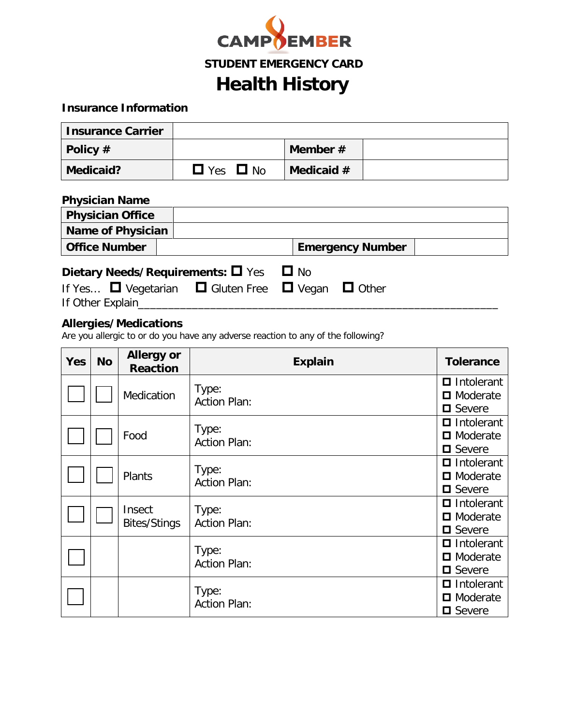

### **Insurance Information**

| <b>Insurance Carrier</b> |                         |              |  |
|--------------------------|-------------------------|--------------|--|
| Policy $#$               |                         | Member $#$   |  |
| Medicaid?                | $\Box$ Yes<br>$\Box$ No | Medicaid $#$ |  |

| <b>Physician Name</b>    |                                                                                                                 |                         |  |
|--------------------------|-----------------------------------------------------------------------------------------------------------------|-------------------------|--|
| <b>Physician Office</b>  |                                                                                                                 |                         |  |
| <b>Name of Physician</b> |                                                                                                                 |                         |  |
| <b>Office Number</b>     |                                                                                                                 | <b>Emergency Number</b> |  |
| If Other Explain         | Dietary Needs/Requirements: $\Box$ Yes<br>If Yes $\Box$ Vegetarian $\Box$ Gluten Free $\Box$ Vegan $\Box$ Other | $\Box$ No               |  |

### **Allergies/Medications**

Are you allergic to or do you have any adverse reaction to any of the following?

| <b>Yes</b> | <b>No</b> | <b>Allergy or</b><br><b>Reaction</b> | <b>Explain</b>               | <b>Tolerance</b>                                            |
|------------|-----------|--------------------------------------|------------------------------|-------------------------------------------------------------|
|            |           | Medication                           | Type:<br><b>Action Plan:</b> | $\blacksquare$ Intolerant<br>□ Moderate<br><b>□</b> Severe  |
|            |           | Food                                 | Type:<br><b>Action Plan:</b> | Intolerant<br>$\blacksquare$ Moderate<br>$\square$ Severe   |
|            |           | Plants                               | Type:<br><b>Action Plan:</b> | $\blacksquare$ Intolerant<br>□ Moderate<br>$\square$ Severe |
|            |           | Insect<br><b>Bites/Stings</b>        | Type:<br><b>Action Plan:</b> | $\blacksquare$ Intolerant<br>□ Moderate<br><b>□</b> Severe  |
|            |           |                                      | Type:<br><b>Action Plan:</b> | $\blacksquare$ Intolerant<br>□ Moderate<br>$\square$ Severe |
|            |           |                                      | Type:<br><b>Action Plan:</b> | $\blacksquare$ Intolerant<br>□ Moderate<br><b>□</b> Severe  |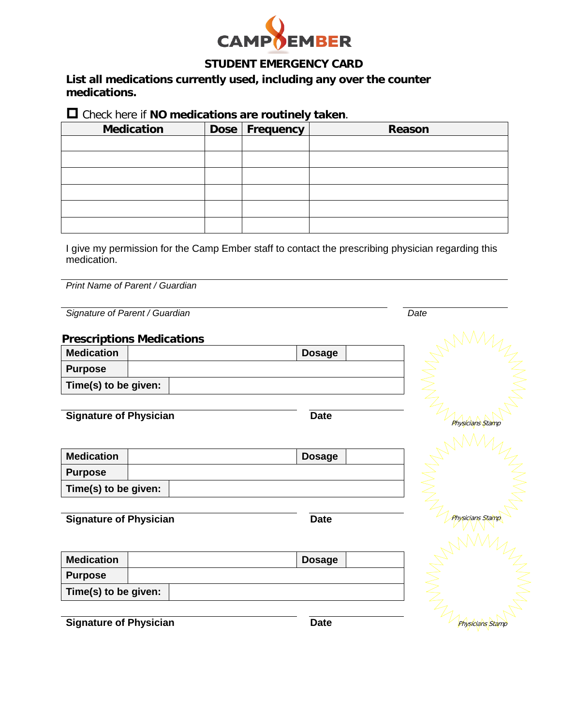

### **STUDENT EMERGENCY CARD**

**List all medications currently used, including any over the counter medications.**

Check here if **NO medications are routinely taken**.

| <b>Medication</b> | Dose   Frequency | Reason |
|-------------------|------------------|--------|
|                   |                  |        |
|                   |                  |        |
|                   |                  |        |
|                   |                  |        |
|                   |                  |        |
|                   |                  |        |

I give my permission for the Camp Ember staff to contact the prescribing physician regarding this medication.

*Print Name of Parent / Guardian*

**Signature of Parent / Guardian** *Date* 

#### **Prescriptions Medications**

| <b>Medication</b>    |  | <b>Dosage</b> |  |
|----------------------|--|---------------|--|
| <b>Purpose</b>       |  |               |  |
| Time(s) to be given: |  |               |  |

**Signature of Physician Date** 

| <b>Medication</b>    |  | <b>Dosage</b> |  |
|----------------------|--|---------------|--|
| <b>Purpose</b>       |  |               |  |
| Time(s) to be given: |  |               |  |

**Signature of Physician Date** 

**Medication Dosage Purpose Time(s) to be given:**



**Signature of Physician Date**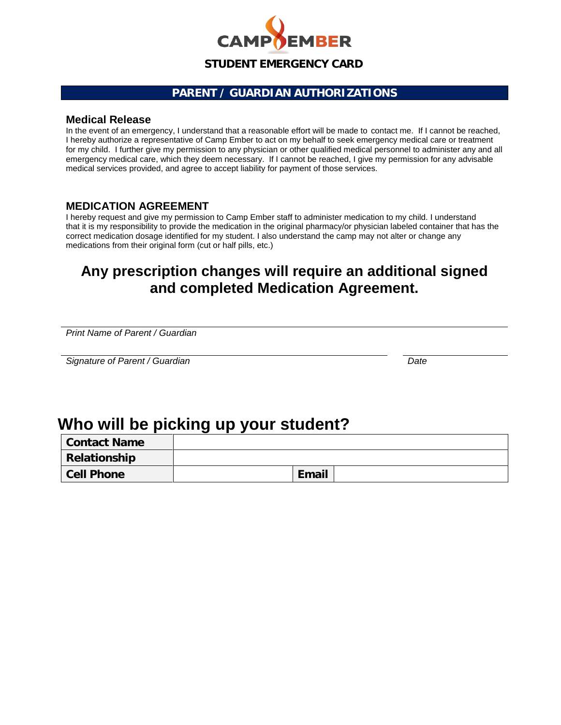

## **PARENT / GUARDIAN AUTHORIZATIONS**

#### **Medical Release**

In the event of an emergency, I understand that a reasonable effort will be made to contact me. If I cannot be reached, I hereby authorize a representative of Camp Ember to act on my behalf to seek emergency medical care or treatment for my child. I further give my permission to any physician or other qualified medical personnel to administer any and all emergency medical care, which they deem necessary. If I cannot be reached, I give my permission for any advisable medical services provided, and agree to accept liability for payment of those services.

#### **MEDICATION AGREEMENT**

I hereby request and give my permission to Camp Ember staff to administer medication to my child. I understand that it is my responsibility to provide the medication in the original pharmacy/or physician labeled container that has the correct medication dosage identified for my student. I also understand the camp may not alter or change any medications from their original form (cut or half pills, etc.)

## **Any prescription changes will require an additional signed and completed Medication Agreement.**

*Print Name of Parent / Guardian*

*Signature of Parent / Guardian Date*

# **Who will be picking up your student?**

| Contact Name      |              |  |
|-------------------|--------------|--|
| Relationship      |              |  |
| <b>Cell Phone</b> | <b>Email</b> |  |